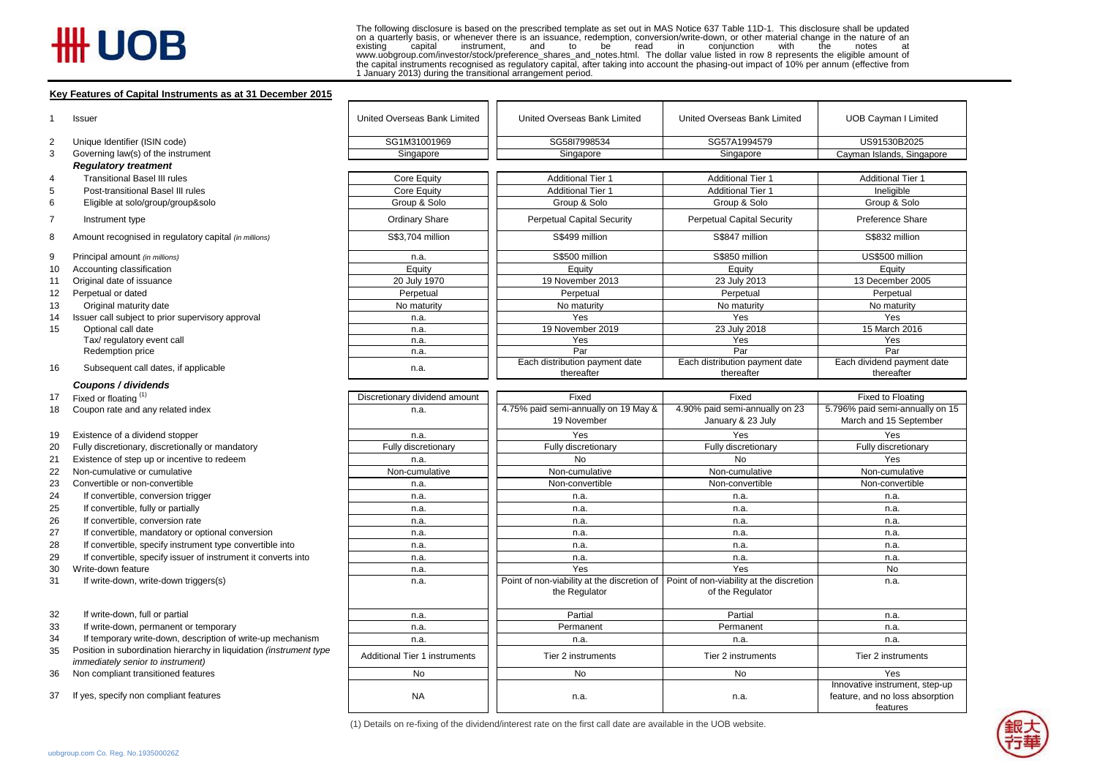## # UOB

The following disclosure is based on the prescribed template as set out in MAS Notice 637 Table 11D-1. This disclosure shall be updated on a quarterly basis, or whenever there is an issuance, redemption, conversion/write-down, or other material change in the nature of an existing capital instrument, and to be read in conjunction with the notes at instrument, and to be read in conjunction with www.uobgroup.com/investor/stock/preference\_shares\_and\_notes.html. The dollar value listed in row 8 represents the eligible amount of the capital instruments recognised as regulatory capital, after taking into account the phasing-out impact of 10% per annum (effective from 1 January 2013) during the transitional arrangement period.

## **Key Features of Capital Instruments as at 31 December 2015**

|    | rey i catules of Capital Institutions as at 31 December 2013                                                    |                               |                                                                                          |                                                     |                                                                               |  |
|----|-----------------------------------------------------------------------------------------------------------------|-------------------------------|------------------------------------------------------------------------------------------|-----------------------------------------------------|-------------------------------------------------------------------------------|--|
|    | Issuer                                                                                                          | United Overseas Bank Limited  | United Overseas Bank Limited                                                             | United Overseas Bank Limited                        | <b>UOB Cayman I Limited</b>                                                   |  |
| 2  | Unique Identifier (ISIN code)                                                                                   | SG1M31001969                  | SG58I7998534                                                                             | SG57A1994579                                        | US91530B2025                                                                  |  |
| 3  | Governing law(s) of the instrument                                                                              | Singapore                     | Singapore                                                                                | Singapore                                           | Cayman Islands, Singapore                                                     |  |
|    | <b>Regulatory treatment</b>                                                                                     |                               |                                                                                          |                                                     |                                                                               |  |
| 4  | <b>Transitional Basel III rules</b>                                                                             | Core Equity                   | <b>Additional Tier 1</b>                                                                 | <b>Additional Tier 1</b>                            | <b>Additional Tier 1</b>                                                      |  |
| 5  | Post-transitional Basel III rules                                                                               | <b>Core Equity</b>            | <b>Additional Tier 1</b>                                                                 | <b>Additional Tier 1</b>                            | Ineligible                                                                    |  |
| 6  | Eligible at solo/group/group&solo                                                                               | Group & Solo                  | Group & Solo                                                                             | Group & Solo                                        | Group & Solo                                                                  |  |
| 7  | Instrument type                                                                                                 | Ordinary Share                | <b>Perpetual Capital Security</b>                                                        | <b>Perpetual Capital Security</b>                   | Preference Share                                                              |  |
| 8  | Amount recognised in regulatory capital (in millions)                                                           | S\$3,704 million              | S\$499 million                                                                           | S\$847 million                                      | S\$832 million                                                                |  |
| 9  | Principal amount (in millions)                                                                                  | n.a.                          | S\$500 million                                                                           | S\$850 million                                      | US\$500 million                                                               |  |
| 10 | Accounting classification                                                                                       | Equity                        | Equity                                                                                   | Equity                                              | Equity                                                                        |  |
| 11 | Original date of issuance                                                                                       | 20 July 1970                  | 19 November 2013                                                                         | 23 July 2013                                        | 13 December 2005                                                              |  |
| 12 | Perpetual or dated                                                                                              | Perpetual                     | Perpetual                                                                                | Perpetual                                           | Perpetual                                                                     |  |
| 13 | Original maturity date                                                                                          | No maturity                   | No maturity                                                                              | No maturity                                         | No maturity                                                                   |  |
| 14 | Issuer call subject to prior supervisory approval                                                               | n.a.                          | Yes                                                                                      | Yes                                                 | Yes                                                                           |  |
| 15 | Optional call date                                                                                              | n.a.                          | 19 November 2019                                                                         | 23 July 2018                                        | 15 March 2016                                                                 |  |
|    | Tax/ regulatory event call                                                                                      | n.a.                          | Yes                                                                                      | Yes                                                 | Yes                                                                           |  |
|    | Redemption price                                                                                                | n.a.                          | Par                                                                                      | Par                                                 | Par                                                                           |  |
| 16 | Subsequent call dates, if applicable                                                                            | n.a.                          | Each distribution payment date                                                           | Each distribution payment date                      | Each dividend payment date                                                    |  |
|    |                                                                                                                 |                               | thereafter                                                                               | thereafter                                          | thereafter                                                                    |  |
|    | Coupons / dividends                                                                                             |                               |                                                                                          |                                                     |                                                                               |  |
| 17 | Fixed or floating (1)                                                                                           | Discretionary dividend amount | Fixed                                                                                    | Fixed                                               | Fixed to Floating                                                             |  |
| 18 | Coupon rate and any related index                                                                               | n.a.                          | 4.75% paid semi-annually on 19 May &<br>19 November                                      | 4.90% paid semi-annually on 23<br>January & 23 July | 5.796% paid semi-annually on 15<br>March and 15 September                     |  |
| 19 | Existence of a dividend stopper                                                                                 | n.a.                          | Yes                                                                                      | Yes                                                 | Yes                                                                           |  |
| 20 | Fully discretionary, discretionally or mandatory                                                                | Fully discretionary           | Fully discretionary                                                                      | Fully discretionary                                 | Fully discretionary                                                           |  |
| 21 | Existence of step up or incentive to redeem                                                                     | n.a.                          | <b>No</b>                                                                                | <b>No</b>                                           | Yes                                                                           |  |
| 22 | Non-cumulative or cumulative                                                                                    | Non-cumulative                | Non-cumulative                                                                           | Non-cumulative                                      | Non-cumulative                                                                |  |
| 23 | Convertible or non-convertible                                                                                  | n.a.                          | Non-convertible                                                                          | Non-convertible                                     | Non-convertible                                                               |  |
| 24 | If convertible, conversion trigger                                                                              | n.a.                          | n.a.                                                                                     | n.a.                                                | n.a.                                                                          |  |
| 25 | If convertible, fully or partially                                                                              | n.a.                          | n.a.                                                                                     | n.a.                                                | n.a.                                                                          |  |
| 26 | If convertible, conversion rate                                                                                 | n.a.                          | n.a.                                                                                     | n.a.                                                | n.a.                                                                          |  |
| 27 | If convertible, mandatory or optional conversion                                                                | n.a.                          | n.a.                                                                                     | n.a.                                                | n.a.                                                                          |  |
| 28 | If convertible, specify instrument type convertible into                                                        | n.a.                          | n.a.                                                                                     | n.a.                                                | n.a.                                                                          |  |
| 29 | If convertible, specify issuer of instrument it converts into                                                   | n.a.                          | n.a.                                                                                     | n.a.                                                | n.a.                                                                          |  |
| 30 | Write-down feature                                                                                              | n.a.                          | Yes                                                                                      | Yes                                                 | No                                                                            |  |
| 31 | If write-down, write-down triggers(s)                                                                           | n.a.                          | Point of non-viability at the discretion of $ $ Point of non-viability at the discretion |                                                     | n.a.                                                                          |  |
|    |                                                                                                                 |                               | the Regulator                                                                            | of the Regulator                                    |                                                                               |  |
| 32 | If write-down, full or partial                                                                                  | n.a.                          | Partial                                                                                  | Partial                                             | n.a.                                                                          |  |
| 33 | If write-down, permanent or temporary                                                                           | n.a.                          | Permanent                                                                                | Permanent                                           | n.a.                                                                          |  |
| 34 | If temporary write-down, description of write-up mechanism                                                      | n.a.                          | n.a.                                                                                     | n.a.                                                | n.a.                                                                          |  |
| 35 | Position in subordination hierarchy in liquidation (instrument type<br><i>immediately senior to instrument)</i> | Additional Tier 1 instruments | Tier 2 instruments                                                                       | Tier 2 instruments                                  | Tier 2 instruments                                                            |  |
| 36 | Non compliant transitioned features                                                                             | No                            | No                                                                                       | No                                                  | Yes                                                                           |  |
| 37 | If yes, specify non compliant features                                                                          | <b>NA</b>                     | n.a.                                                                                     | n.a.                                                | Innovative instrument, step-up<br>feature, and no loss absorption<br>features |  |



(1) Details on re-fixing of the dividend/interest rate on the first call date are available in the UOB website.